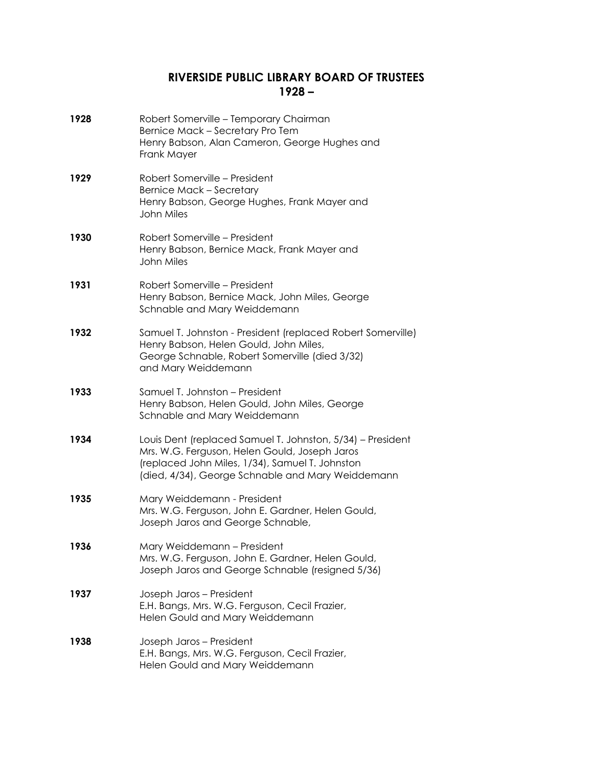## **RIVERSIDE PUBLIC LIBRARY BOARD OF TRUSTEES 1928 –**

| 1928 | Robert Somerville - Temporary Chairman<br>Bernice Mack - Secretary Pro Tem<br>Henry Babson, Alan Cameron, George Hughes and<br>Frank Mayer                                                                          |
|------|---------------------------------------------------------------------------------------------------------------------------------------------------------------------------------------------------------------------|
| 1929 | Robert Somerville - President<br><b>Bernice Mack - Secretary</b><br>Henry Babson, George Hughes, Frank Mayer and<br><b>John Miles</b>                                                                               |
| 1930 | Robert Somerville – President<br>Henry Babson, Bernice Mack, Frank Mayer and<br><b>John Miles</b>                                                                                                                   |
| 1931 | Robert Somerville – President<br>Henry Babson, Bernice Mack, John Miles, George<br>Schnable and Mary Weiddemann                                                                                                     |
| 1932 | Samuel T. Johnston - President (replaced Robert Somerville)<br>Henry Babson, Helen Gould, John Miles,<br>George Schnable, Robert Somerville (died 3/32)<br>and Mary Weiddemann                                      |
| 1933 | Samuel T. Johnston - President<br>Henry Babson, Helen Gould, John Miles, George<br>Schnable and Mary Weiddemann                                                                                                     |
| 1934 | Louis Dent (replaced Samuel T. Johnston, 5/34) – President<br>Mrs. W.G. Ferguson, Helen Gould, Joseph Jaros<br>(replaced John Miles, 1/34), Samuel T. Johnston<br>(died, 4/34), George Schnable and Mary Weiddemann |
| 1935 | Mary Weiddemann - President<br>Mrs. W.G. Ferguson, John E. Gardner, Helen Gould,<br>Joseph Jaros and George Schnable,                                                                                               |
| 1936 | Mary Weiddemann - President<br>Mrs. W.G. Ferguson, John E. Gardner, Helen Gould,<br>Joseph Jaros and George Schnable (resigned 5/36)                                                                                |
| 1937 | Joseph Jaros - President<br>E.H. Bangs, Mrs. W.G. Ferguson, Cecil Frazier,<br>Helen Gould and Mary Weiddemann                                                                                                       |
| 1938 | Joseph Jaros - President<br>E.H. Bangs, Mrs. W.G. Ferguson, Cecil Frazier,<br>Helen Gould and Mary Weiddemann                                                                                                       |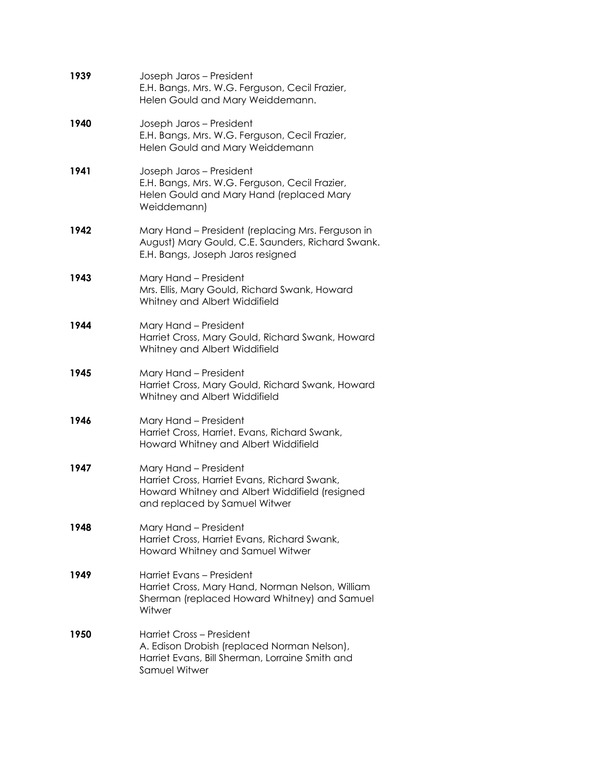| 1939 | Joseph Jaros - President<br>E.H. Bangs, Mrs. W.G. Ferguson, Cecil Frazier,<br>Helen Gould and Mary Weiddemann.                                           |
|------|----------------------------------------------------------------------------------------------------------------------------------------------------------|
| 1940 | Joseph Jaros - President<br>E.H. Bangs, Mrs. W.G. Ferguson, Cecil Frazier,<br>Helen Gould and Mary Weiddemann                                            |
| 1941 | Joseph Jaros - President<br>E.H. Bangs, Mrs. W.G. Ferguson, Cecil Frazier,<br>Helen Gould and Mary Hand (replaced Mary<br>Weiddemann)                    |
| 1942 | Mary Hand - President (replacing Mrs. Ferguson in<br>August) Mary Gould, C.E. Saunders, Richard Swank.<br>E.H. Bangs, Joseph Jaros resigned              |
| 1943 | Mary Hand - President<br>Mrs. Ellis, Mary Gould, Richard Swank, Howard<br>Whitney and Albert Widdifield                                                  |
| 1944 | Mary Hand - President<br>Harriet Cross, Mary Gould, Richard Swank, Howard<br>Whitney and Albert Widdifield                                               |
| 1945 | Mary Hand - President<br>Harriet Cross, Mary Gould, Richard Swank, Howard<br>Whitney and Albert Widdifield                                               |
| 1946 | Mary Hand - President<br>Harriet Cross, Harriet. Evans, Richard Swank,<br>Howard Whitney and Albert Widdifield                                           |
| 1947 | Mary Hand - President<br>Harriet Cross, Harriet Evans, Richard Swank,<br>Howard Whitney and Albert Widdifield (resigned<br>and replaced by Samuel Witwer |
| 1948 | Mary Hand - President<br>Harriet Cross, Harriet Evans, Richard Swank,<br>Howard Whitney and Samuel Witwer                                                |
| 1949 | Harriet Evans – President<br>Harriet Cross, Mary Hand, Norman Nelson, William<br>Sherman (replaced Howard Whitney) and Samuel<br>Witwer                  |
| 1950 | Harriet Cross - President<br>A. Edison Drobish (replaced Norman Nelson),<br>Harriet Evans, Bill Sherman, Lorraine Smith and<br>Samuel Witwer             |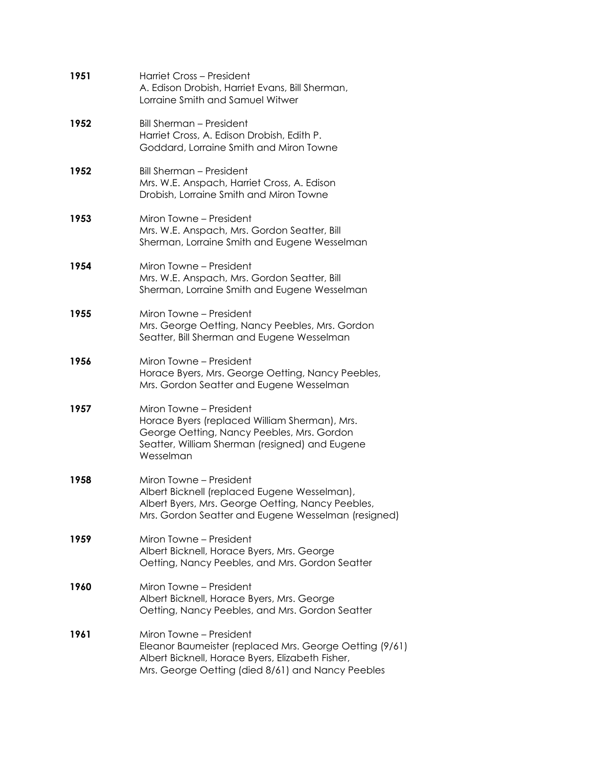| 1951 | Harriet Cross - President<br>A. Edison Drobish, Harriet Evans, Bill Sherman,<br>Lorraine Smith and Samuel Witwer                                                                            |
|------|---------------------------------------------------------------------------------------------------------------------------------------------------------------------------------------------|
| 1952 | <b>Bill Sherman - President</b><br>Harriet Cross, A. Edison Drobish, Edith P.<br>Goddard, Lorraine Smith and Miron Towne                                                                    |
| 1952 | <b>Bill Sherman - President</b><br>Mrs. W.E. Anspach, Harriet Cross, A. Edison<br>Drobish, Lorraine Smith and Miron Towne                                                                   |
| 1953 | Miron Towne – President<br>Mrs. W.E. Anspach, Mrs. Gordon Seatter, Bill<br>Sherman, Lorraine Smith and Eugene Wesselman                                                                     |
| 1954 | Miron Towne – President<br>Mrs. W.E. Anspach, Mrs. Gordon Seatter, Bill<br>Sherman, Lorraine Smith and Eugene Wesselman                                                                     |
| 1955 | Miron Towne – President<br>Mrs. George Oetting, Nancy Peebles, Mrs. Gordon<br>Seatter, Bill Sherman and Eugene Wesselman                                                                    |
| 1956 | Miron Towne – President<br>Horace Byers, Mrs. George Oetting, Nancy Peebles,<br>Mrs. Gordon Seatter and Eugene Wesselman                                                                    |
| 1957 | Miron Towne - President<br>Horace Byers (replaced William Sherman), Mrs.<br>George Oetting, Nancy Peebles, Mrs. Gordon<br>Seatter, William Sherman (resigned) and Eugene<br>Wesselman       |
| 1958 | Miron Towne - President<br>Albert Bicknell (replaced Eugene Wesselman),<br>Albert Byers, Mrs. George Oetting, Nancy Peebles,<br>Mrs. Gordon Seatter and Eugene Wesselman (resigned)         |
| 1959 | Miron Towne - President<br>Albert Bicknell, Horace Byers, Mrs. George<br>Oetting, Nancy Peebles, and Mrs. Gordon Seatter                                                                    |
| 1960 | Miron Towne – President<br>Albert Bicknell, Horace Byers, Mrs. George<br>Oetting, Nancy Peebles, and Mrs. Gordon Seatter                                                                    |
| 1961 | Miron Towne – President<br>Eleanor Baumeister (replaced Mrs. George Oetting (9/61)<br>Albert Bicknell, Horace Byers, Elizabeth Fisher,<br>Mrs. George Oetting (died 8/61) and Nancy Peebles |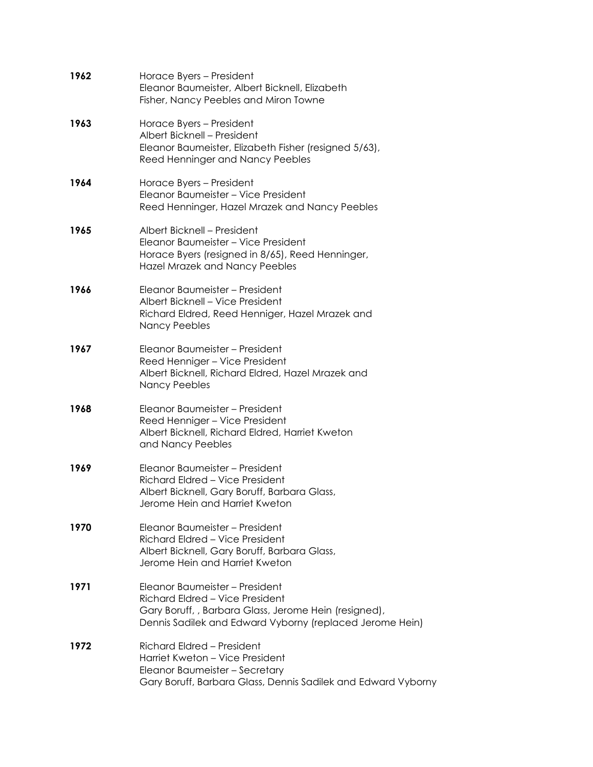| 1962 | Horace Byers – President<br>Eleanor Baumeister, Albert Bicknell, Elizabeth<br>Fisher, Nancy Peebles and Miron Towne                                                                   |
|------|---------------------------------------------------------------------------------------------------------------------------------------------------------------------------------------|
| 1963 | Horace Byers – President<br>Albert Bicknell - President<br>Eleanor Baumeister, Elizabeth Fisher (resigned 5/63),<br>Reed Henninger and Nancy Peebles                                  |
| 1964 | Horace Byers - President<br>Eleanor Baumeister - Vice President<br>Reed Henninger, Hazel Mrazek and Nancy Peebles                                                                     |
| 1965 | Albert Bicknell - President<br>Eleanor Baumeister – Vice President<br>Horace Byers (resigned in 8/65), Reed Henninger,<br><b>Hazel Mrazek and Nancy Peebles</b>                       |
| 1966 | Eleanor Baumeister - President<br>Albert Bicknell - Vice President<br>Richard Eldred, Reed Henniger, Hazel Mrazek and<br><b>Nancy Peebles</b>                                         |
| 1967 | Eleanor Baumeister – President<br>Reed Henniger - Vice President<br>Albert Bicknell, Richard Eldred, Hazel Mrazek and<br><b>Nancy Peebles</b>                                         |
| 1968 | Eleanor Baumeister – President<br>Reed Henniger - Vice President<br>Albert Bicknell, Richard Eldred, Harriet Kweton<br>and Nancy Peebles                                              |
| 1969 | Eleanor Baumeister - President<br>Richard Eldred - Vice President<br>Albert Bicknell, Gary Boruff, Barbara Glass,<br>Jerome Hein and Harriet Kweton                                   |
| 1970 | Eleanor Baumeister – President<br>Richard Eldred - Vice President<br>Albert Bicknell, Gary Boruff, Barbara Glass,<br>Jerome Hein and Harriet Kweton                                   |
| 1971 | Eleanor Baumeister - President<br>Richard Eldred - Vice President<br>Gary Boruff,, Barbara Glass, Jerome Hein (resigned),<br>Dennis Sadilek and Edward Vyborny (replaced Jerome Hein) |
| 1972 | Richard Eldred - President<br>Harriet Kweton – Vice President<br>Eleanor Baumeister - Secretary<br>Gary Boruff, Barbara Glass, Dennis Sadilek and Edward Vyborny                      |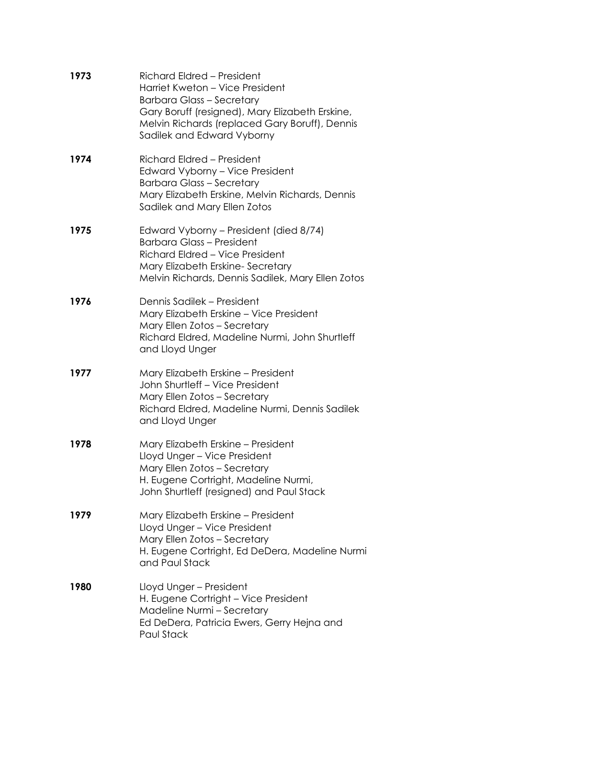| 1973 | Richard Eldred - President<br>Harriet Kweton - Vice President<br><b>Barbara Glass - Secretary</b><br>Gary Boruff (resigned), Mary Elizabeth Erskine,<br>Melvin Richards (replaced Gary Boruff), Dennis<br>Sadilek and Edward Vyborny |
|------|--------------------------------------------------------------------------------------------------------------------------------------------------------------------------------------------------------------------------------------|
| 1974 | Richard Eldred - President<br>Edward Vyborny - Vice President<br><b>Barbara Glass - Secretary</b><br>Mary Elizabeth Erskine, Melvin Richards, Dennis<br>Sadilek and Mary Ellen Zotos                                                 |
| 1975 | Edward Vyborny - President (died 8/74)<br><b>Barbara Glass - President</b><br>Richard Eldred - Vice President<br>Mary Elizabeth Erskine-Secretary<br>Melvin Richards, Dennis Sadilek, Mary Ellen Zotos                               |
| 1976 | Dennis Sadilek – President<br>Mary Elizabeth Erskine - Vice President<br>Mary Ellen Zotos - Secretary<br>Richard Eldred, Madeline Nurmi, John Shurtleff<br>and Lloyd Unger                                                           |
| 1977 | Mary Elizabeth Erskine - President<br>John Shurtleff - Vice President<br>Mary Ellen Zotos - Secretary<br>Richard Eldred, Madeline Nurmi, Dennis Sadilek<br>and Lloyd Unger                                                           |
| 1978 | Mary Elizabeth Erskine - President<br>Lloyd Unger - Vice President<br>Mary Ellen Zotos - Secretary<br>H. Eugene Cortright, Madeline Nurmi,<br>John Shurtleff (resigned) and Paul Stack                                               |
| 1979 | Mary Elizabeth Erskine – President<br>Lloyd Unger - Vice President<br>Mary Ellen Zotos - Secretary<br>H. Eugene Cortright, Ed DeDera, Madeline Nurmi<br>and Paul Stack                                                               |
| 1980 | Lloyd Unger - President<br>H. Eugene Cortright - Vice President<br>Madeline Nurmi - Secretary<br>Ed DeDera, Patricia Ewers, Gerry Hejna and<br>Paul Stack                                                                            |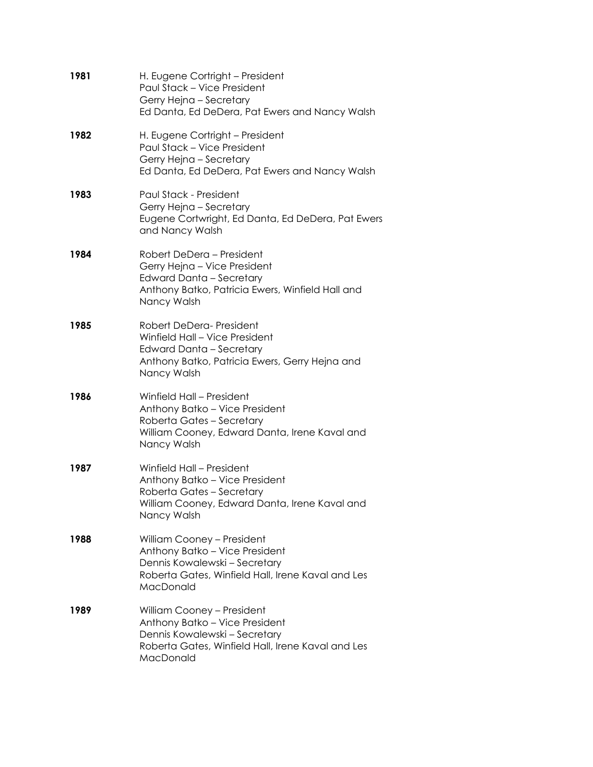| 1981 | H. Eugene Cortright – President<br>Paul Stack - Vice President<br>Gerry Hejna - Secretary<br>Ed Danta, Ed DeDera, Pat Ewers and Nancy Walsh                     |
|------|-----------------------------------------------------------------------------------------------------------------------------------------------------------------|
| 1982 | H. Eugene Cortright - President<br>Paul Stack - Vice President<br>Gerry Hejna - Secretary<br>Ed Danta, Ed DeDera, Pat Ewers and Nancy Walsh                     |
| 1983 | Paul Stack - President<br>Gerry Hejna - Secretary<br>Eugene Cortwright, Ed Danta, Ed DeDera, Pat Ewers<br>and Nancy Walsh                                       |
| 1984 | Robert DeDera – President<br>Gerry Hejna - Vice President<br><b>Edward Danta - Secretary</b><br>Anthony Batko, Patricia Ewers, Winfield Hall and<br>Nancy Walsh |
| 1985 | Robert DeDera-President<br>Winfield Hall - Vice President<br><b>Edward Danta - Secretary</b><br>Anthony Batko, Patricia Ewers, Gerry Hejna and<br>Nancy Walsh   |
| 1986 | Winfield Hall - President<br>Anthony Batko - Vice President<br>Roberta Gates - Secretary<br>William Cooney, Edward Danta, Irene Kaval and<br>Nancy Walsh        |
| 1987 | Winfield Hall - President<br>Anthony Batko - Vice President<br>Roberta Gates - Secretary<br>William Cooney, Edward Danta, Irene Kaval and<br>Nancy Walsh        |
| 1988 | William Cooney - President<br>Anthony Batko - Vice President<br>Dennis Kowalewski - Secretary<br>Roberta Gates, Winfield Hall, Irene Kaval and Les<br>MacDonald |
| 1989 | William Cooney - President<br>Anthony Batko - Vice President<br>Dennis Kowalewski - Secretary<br>Roberta Gates, Winfield Hall, Irene Kaval and Les<br>MacDonald |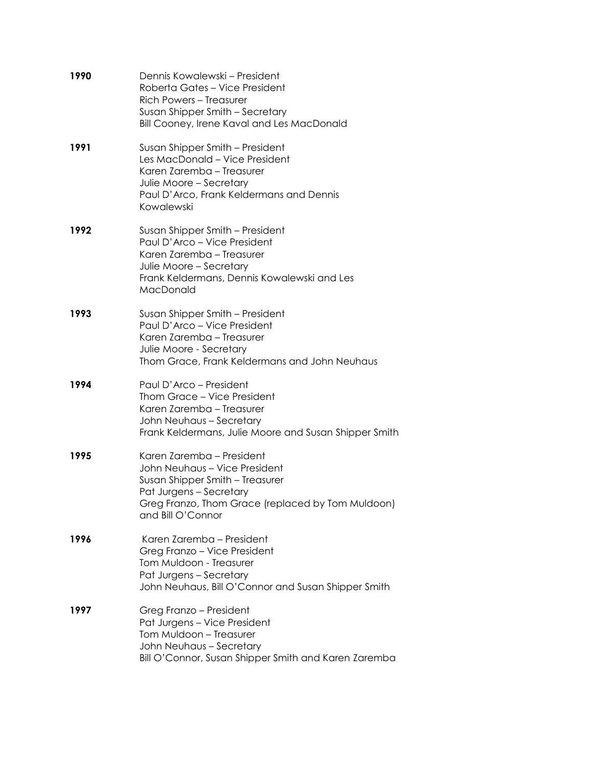| 1990 | Dennis Kowalewski – President<br>Roberta Gates - Vice President<br>Rich Powers - Treasurer<br>Susan Shipper Smith - Secretary<br>Bill Cooney, Irene Kaval and Les MacDonald                        |
|------|----------------------------------------------------------------------------------------------------------------------------------------------------------------------------------------------------|
| 1991 | Susan Shipper Smith - President<br>Les MacDonald - Vice President<br>Karen Zaremba - Treasurer<br>Julie Moore - Secretary<br>Paul D'Arco, Frank Keldermans and Dennis<br>Kowalewski                |
| 1992 | Susan Shipper Smith - President<br>Paul D'Arco - Vice President<br>Karen Zaremba - Treasurer<br>Julie Moore - Secretary<br>Frank Keldermans, Dennis Kowalewski and Les<br>MacDonald                |
| 1993 | Susan Shipper Smith - President<br>Paul D'Arco - Vice President<br>Karen Zaremba - Treasurer<br>Julie Moore - Secretary<br>Thom Grace, Frank Keldermans and John Neuhaus                           |
| 1994 | Paul D'Arco – President<br>Thom Grace - Vice President<br>Karen Zaremba - Treasurer<br>John Neuhaus - Secretary<br>Frank Keldermans, Julie Moore and Susan Shipper Smith                           |
| 1995 | Karen Zaremba - President<br>John Neuhaus - Vice President<br>Susan Shipper Smith - Treasurer<br>Pat Jurgens - Secretary<br>Greg Franzo, Thom Grace (replaced by Tom Muldoon)<br>and Bill O'Connor |
| 1996 | Karen Zaremba - President<br>Greg Franzo - Vice President<br>Tom Muldoon - Treasurer<br>Pat Jurgens - Secretary<br>John Neuhaus, Bill O'Connor and Susan Shipper Smith                             |
| 1997 | Greg Franzo - President<br>Pat Jurgens - Vice President<br>Tom Muldoon - Treasurer<br>John Neuhaus - Secretary<br>Bill O'Connor, Susan Shipper Smith and Karen Zaremba                             |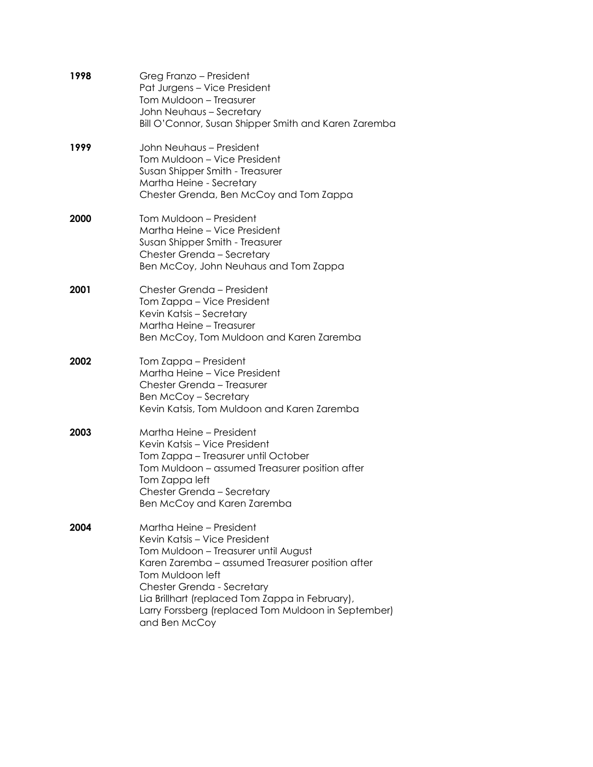| 1998 | Greg Franzo – President<br>Pat Jurgens - Vice President<br>Tom Muldoon - Treasurer<br>John Neuhaus - Secretary<br>Bill O'Connor, Susan Shipper Smith and Karen Zaremba                                                                                                                                                             |
|------|------------------------------------------------------------------------------------------------------------------------------------------------------------------------------------------------------------------------------------------------------------------------------------------------------------------------------------|
| 1999 | John Neuhaus – President<br>Tom Muldoon - Vice President<br>Susan Shipper Smith - Treasurer<br>Martha Heine - Secretary<br>Chester Grenda, Ben McCoy and Tom Zappa                                                                                                                                                                 |
| 2000 | Tom Muldoon - President<br>Martha Heine - Vice President<br>Susan Shipper Smith - Treasurer<br>Chester Grenda - Secretary<br>Ben McCoy, John Neuhaus and Tom Zappa                                                                                                                                                                 |
| 2001 | Chester Grenda - President<br>Tom Zappa - Vice President<br>Kevin Katsis - Secretary<br>Martha Heine - Treasurer<br>Ben McCoy, Tom Muldoon and Karen Zaremba                                                                                                                                                                       |
| 2002 | Tom Zappa – President<br>Martha Heine - Vice President<br>Chester Grenda - Treasurer<br><b>Ben McCoy - Secretary</b><br>Kevin Katsis, Tom Muldoon and Karen Zaremba                                                                                                                                                                |
| 2003 | Martha Heine – President<br>Kevin Katsis – Vice President<br>Tom Zappa – Treasurer until October<br>Tom Muldoon – assumed Treasurer position after<br>Tom Zappa left<br>Chester Grenda - Secretary<br>Ben McCoy and Karen Zaremba                                                                                                  |
| 2004 | Martha Heine - President<br>Kevin Katsis - Vice President<br>Tom Muldoon - Treasurer until August<br>Karen Zaremba - assumed Treasurer position after<br>Tom Muldoon left<br>Chester Grenda - Secretary<br>Lia Brillhart (replaced Tom Zappa in February),<br>Larry Forssberg (replaced Tom Muldoon in September)<br>and Ben McCoy |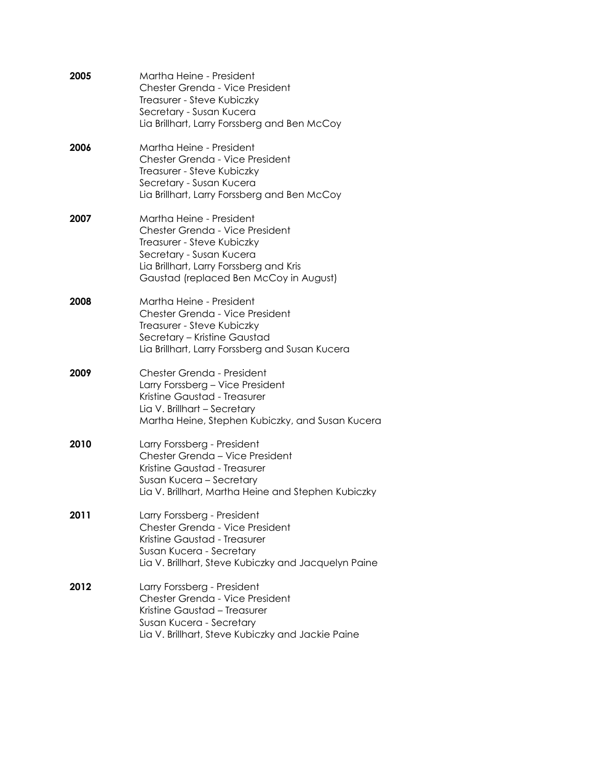| 2005 | Martha Heine - President<br>Chester Grenda - Vice President<br>Treasurer - Steve Kubiczky<br>Secretary - Susan Kucera<br>Lia Brillhart, Larry Forssberg and Ben McCoy                                      |
|------|------------------------------------------------------------------------------------------------------------------------------------------------------------------------------------------------------------|
| 2006 | Martha Heine - President<br>Chester Grenda - Vice President<br>Treasurer - Steve Kubiczky<br>Secretary - Susan Kucera<br>Lia Brillhart, Larry Forssberg and Ben McCoy                                      |
| 2007 | Martha Heine - President<br>Chester Grenda - Vice President<br>Treasurer - Steve Kubiczky<br>Secretary - Susan Kucera<br>Lia Brillhart, Larry Forssberg and Kris<br>Gaustad (replaced Ben McCoy in August) |
| 2008 | Martha Heine - President<br>Chester Grenda - Vice President<br>Treasurer - Steve Kubiczky<br>Secretary - Kristine Gaustad<br>Lia Brillhart, Larry Forssberg and Susan Kucera                               |
| 2009 | Chester Grenda - President<br>Larry Forssberg - Vice President<br>Kristine Gaustad - Treasurer<br>Lia V. Brillhart - Secretary<br>Martha Heine, Stephen Kubiczky, and Susan Kucera                         |
| 2010 | Larry Forssberg - President<br>Chester Grenda - Vice President<br>Kristine Gaustad - Treasurer<br>Susan Kucera - Secretary<br>Lia V. Brillhart, Martha Heine and Stephen Kubiczky                          |
| 2011 | Larry Forssberg - President<br>Chester Grenda - Vice President<br>Kristine Gaustad - Treasurer<br>Susan Kucera - Secretary<br>Lia V. Brillhart, Steve Kubiczky and Jacquelyn Paine                         |
| 2012 | Larry Forssberg - President<br>Chester Grenda - Vice President<br>Kristine Gaustad - Treasurer<br>Susan Kucera - Secretary<br>Lia V. Brillhart, Steve Kubiczky and Jackie Paine                            |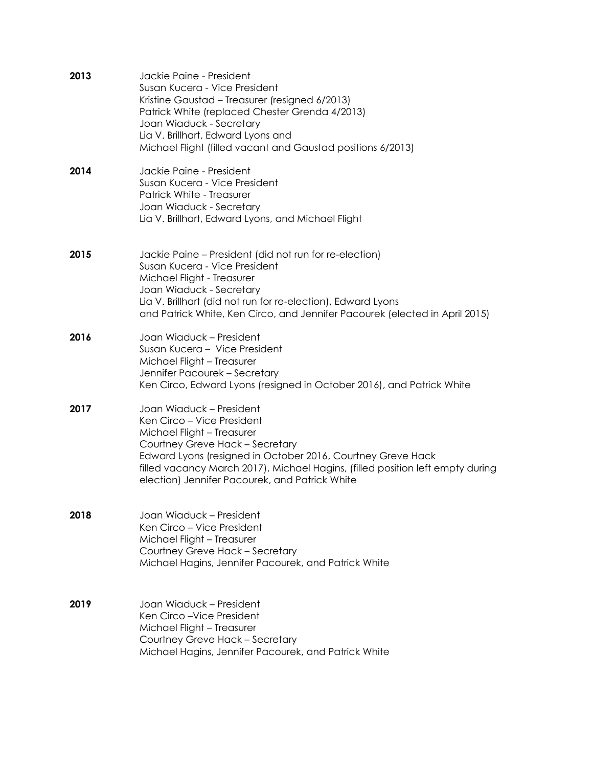| 2013 | Jackie Paine - President<br>Susan Kucera - Vice President<br>Kristine Gaustad - Treasurer (resigned 6/2013)<br>Patrick White (replaced Chester Grenda 4/2013)<br>Joan Wiaduck - Secretary<br>Lia V. Brillhart, Edward Lyons and<br>Michael Flight (filled vacant and Gaustad positions 6/2013)                             |
|------|----------------------------------------------------------------------------------------------------------------------------------------------------------------------------------------------------------------------------------------------------------------------------------------------------------------------------|
| 2014 | Jackie Paine - President<br>Susan Kucera - Vice President<br>Patrick White - Treasurer<br>Joan Wiaduck - Secretary<br>Lia V. Brillhart, Edward Lyons, and Michael Flight                                                                                                                                                   |
| 2015 | Jackie Paine – President (did not run for re-election)<br>Susan Kucera - Vice President<br>Michael Flight - Treasurer<br>Joan Wiaduck - Secretary<br>Lia V. Brillhart (did not run for re-election), Edward Lyons<br>and Patrick White, Ken Circo, and Jennifer Pacourek (elected in April 2015)                           |
| 2016 | Joan Wiaduck - President<br>Susan Kucera - Vice President<br>Michael Flight - Treasurer<br>Jennifer Pacourek - Secretary<br>Ken Circo, Edward Lyons (resigned in October 2016), and Patrick White                                                                                                                          |
| 2017 | Joan Wiaduck – President<br>Ken Circo – Vice President<br>Michael Flight - Treasurer<br>Courtney Greve Hack - Secretary<br>Edward Lyons (resigned in October 2016, Courtney Greve Hack<br>filled vacancy March 2017), Michael Hagins, (filled position left empty during<br>election) Jennifer Pacourek, and Patrick White |
| 2018 | Joan Wiaduck – President<br>Ken Circo - Vice President<br>Michael Flight - Treasurer<br>Courtney Greve Hack - Secretary<br>Michael Hagins, Jennifer Pacourek, and Patrick White                                                                                                                                            |
| 2019 | Joan Wiaduck – President<br>Ken Circo-Vice President<br>Michael Flight - Treasurer<br>Courtney Greve Hack - Secretary<br>Michael Hagins, Jennifer Pacourek, and Patrick White                                                                                                                                              |